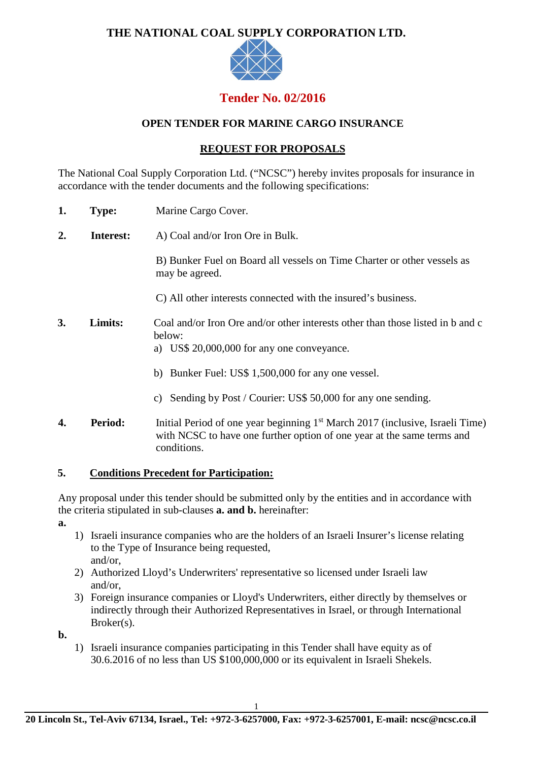# **THE NATIONAL COAL SUPPLY CORPORATION LTD.**



# **Tender No. 02/2016**

## **OPEN TENDER FOR MARINE CARGO INSURANCE**

## **REQUEST FOR PROPOSALS**

The National Coal Supply Corporation Ltd. ("NCSC") hereby invites proposals for insurance in accordance with the tender documents and the following specifications:

- **1. Type:** Marine Cargo Cover.
- **2. Interest:** A) Coal and/or Iron Ore in Bulk.

B) Bunker Fuel on Board all vessels on Time Charter or other vessels as may be agreed.

- C) All other interests connected with the insured's business.
- **3. Limits:** Coal and/or Iron Ore and/or other interests other than those listed in b and c below:
	- a) US\$ 20,000,000 for any one conveyance.
	- b) Bunker Fuel: US\$ 1,500,000 for any one vessel.
	- c) Sending by Post / Courier: US\$ 50,000 for any one sending.
- **4. Period:** Initial Period of one year beginning 1<sup>st</sup> March 2017 (inclusive, Israeli Time) with NCSC to have one further option of one year at the same terms and conditions.

## **5. Conditions Precedent for Participation:**

Any proposal under this tender should be submitted only by the entities and in accordance with the criteria stipulated in sub-clauses **a. and b.** hereinafter:

**a.**

- 1) Israeli insurance companies who are the holders of an Israeli Insurer's license relating to the Type of Insurance being requested, and/or,
- 2) Authorized Lloyd's Underwriters' representative so licensed under Israeli law and/or,
- 3) Foreign insurance companies or Lloyd's Underwriters, either directly by themselves or indirectly through their Authorized Representatives in Israel, or through International Broker(s).

**b.**

1) Israeli insurance companies participating in this Tender shall have equity as of 30.6.2016 of no less than US \$100,000,000 or its equivalent in Israeli Shekels.